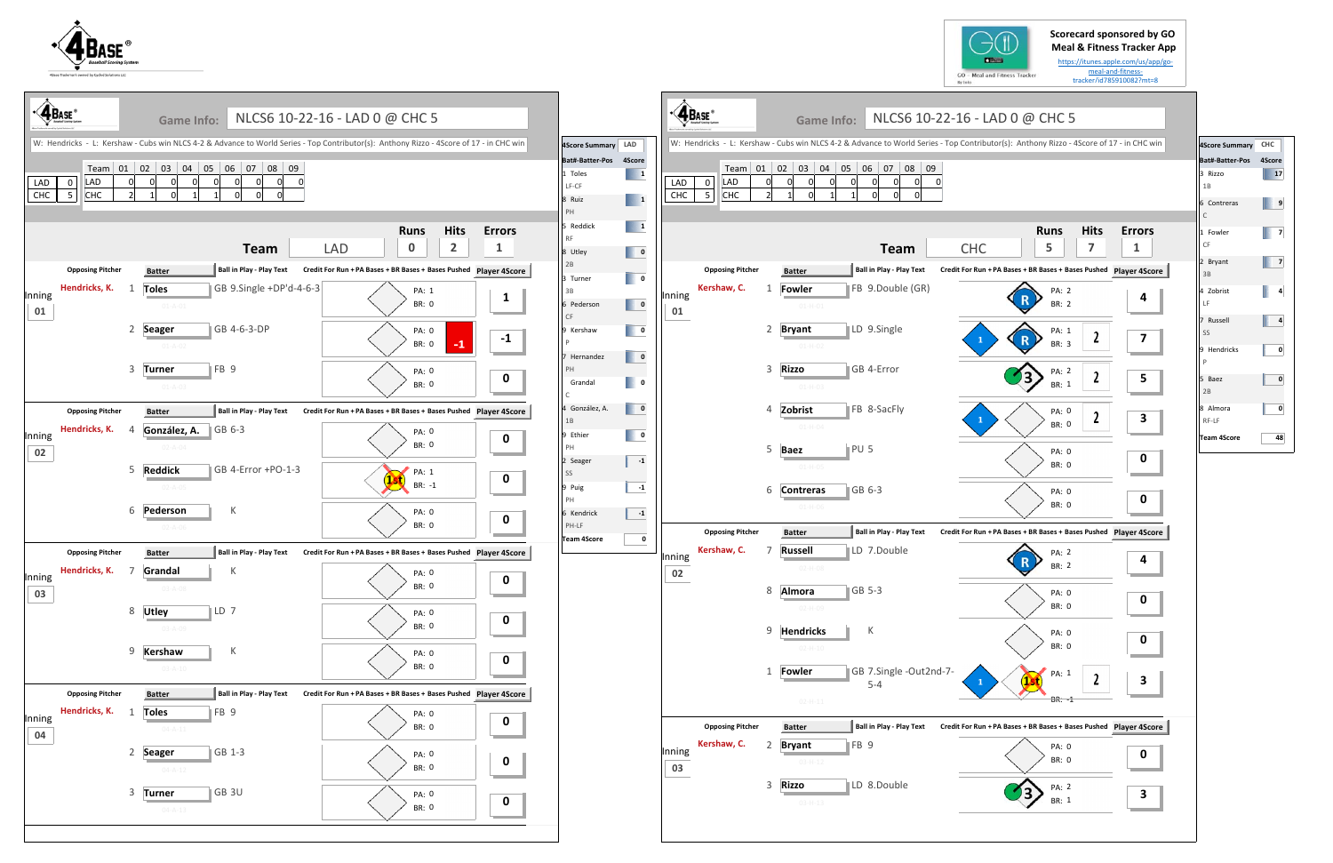## **Scorecard sponsored by GO Meal & Fitness Tracker App**

https://itunes.apple.com/us/app/go‐ meal‐and‐fitness‐ tracker/id785910082?mt=8









| 4Score Summary              | CHC |
|-----------------------------|-----|
| Bat#-Batter-Pos 4Score      |     |
| 3 Rizzo<br>1B               | 17  |
| 6 Contreras<br>$\mathsf{C}$ | 9   |
| 1 Fowler<br>CF              | 7   |
| 2 Bryant<br>3B              | 7   |
| 4 Zobrist<br>LF             | 4   |
| 7 Russell<br>SS             | 4   |
| 9 Hendricks<br>Þ            | 0   |
| 5 Baez<br>2B                | 0   |
| 8 Almora<br>RF-LF           | 0   |
| <b>Team 4Score</b>          | 48  |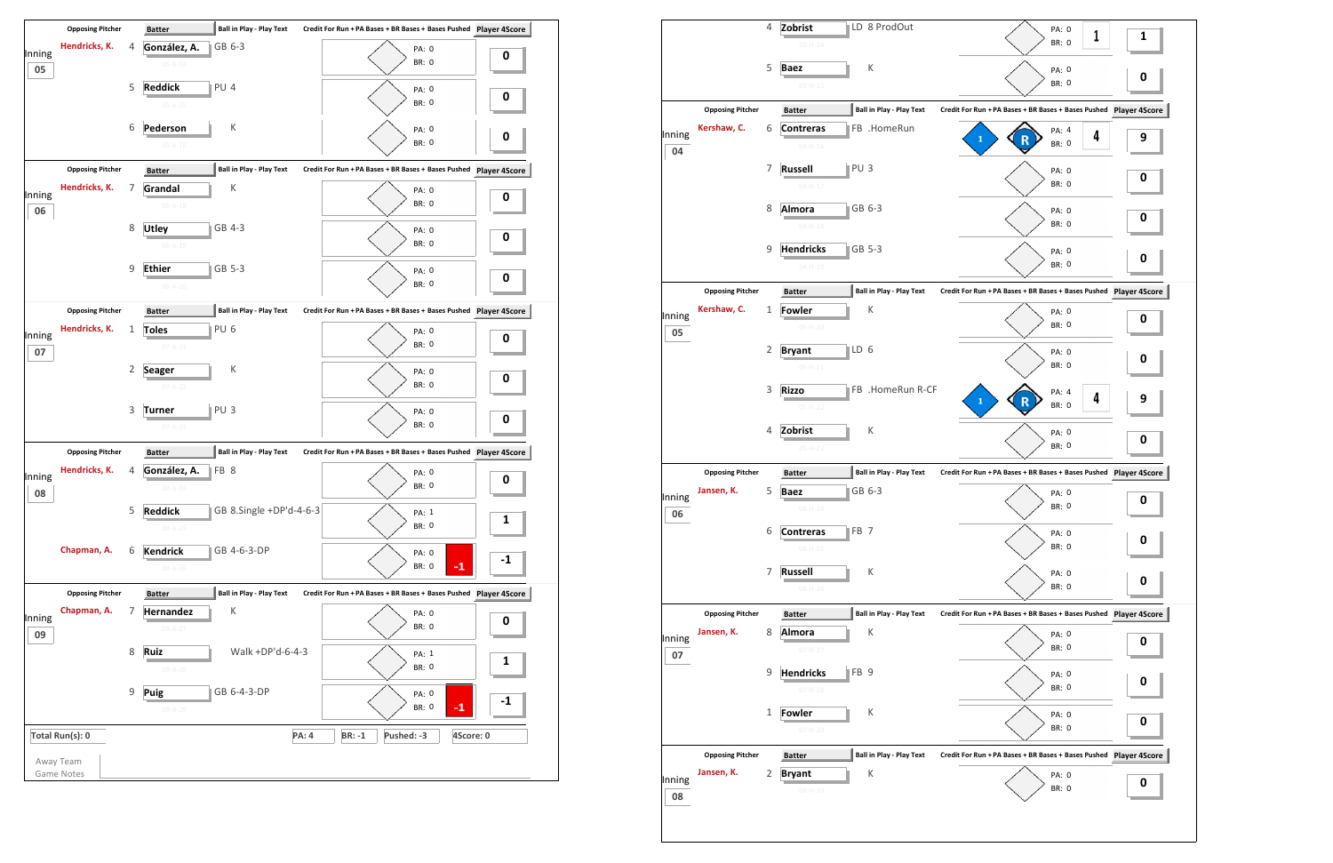

|              |                                       | 4 | LD 8 ProdOut<br>Zobrist                                         | PA: 0                                                         |   |
|--------------|---------------------------------------|---|-----------------------------------------------------------------|---------------------------------------------------------------|---|
|              |                                       |   | $03 - H - 14$                                                   | 1<br><b>BR: 0</b>                                             | 1 |
|              |                                       | 5 | К<br><b>Baez</b>                                                | PA: 0                                                         | 0 |
|              |                                       |   | $03 - H - 15$                                                   | <b>BR: 0</b>                                                  |   |
|              | <b>Opposing Pitcher</b>               |   | <b>Ball in Play - Play Text</b><br><b>Batter</b>                | Credit For Run + PA Bases + BR Bases + Bases Pushed Player 4S |   |
| Inning       | Kershaw, C.                           | 6 | FB .HomeRun<br><b>Contreras</b><br>$04 - H - 16$                | PA: 4<br>4<br>1<br><b>BR: 0</b>                               | 9 |
| 04           |                                       | 7 | PU <sub>3</sub><br><b>Russell</b>                               | PA: 0                                                         |   |
|              |                                       |   | $04 - H - 17$                                                   | <b>BR: 0</b>                                                  | 0 |
|              |                                       | 8 | GB 6-3<br>Almora                                                | PA: 0                                                         | 0 |
|              |                                       |   | $04 - H - 18$                                                   | <b>BR: 0</b>                                                  |   |
|              |                                       | 9 | GB 5-3<br><b>Hendricks</b><br>$04 - H - 19$                     | PA: 0<br><b>BR: 0</b>                                         | 0 |
|              | <b>Opposing Pitcher</b>               |   | <b>Ball in Play - Play Text</b><br><b>Batter</b>                | Credit For Run + PA Bases + BR Bases + Bases Pushed Player 4S |   |
| Inning       | Kershaw, C.                           | 1 | К<br><b>Fowler</b>                                              | PA: 0                                                         | 0 |
| 05           |                                       |   | $05-H-20$                                                       | <b>BR: 0</b>                                                  |   |
|              |                                       | 2 | LD 6<br><b>Bryant</b><br>$05-H-21$                              | PA: 0<br><b>BR: 0</b>                                         | 0 |
|              |                                       | 3 | FB .HomeRun R-CF<br><b>Rizzo</b>                                | PA: 4                                                         |   |
|              |                                       |   | $05-H-22$                                                       | 4<br>$\mathbf{1}$<br><b>BR: 0</b>                             | 9 |
|              |                                       | 4 | К<br>Zobrist                                                    | PA: 0                                                         | 0 |
|              |                                       |   | 05-H-23                                                         | <b>BR: 0</b>                                                  |   |
|              | <b>Opposing Pitcher</b>               |   | Ball in Play - Play Text<br><b>Batter</b>                       | Credit For Run + PA Bases + BR Bases + Bases Pushed Player 4S |   |
| Inning<br>06 | Jansen, K.                            | 5 | GB 6-3<br>Baez<br>$06 - H - 24$                                 | PA: 0<br><b>BR: 0</b>                                         | 0 |
|              |                                       | 6 | FB <sub>7</sub><br><b>Contreras</b>                             | PA: 0                                                         |   |
|              |                                       |   | $06-H-25$                                                       | BR: 0                                                         | 0 |
|              |                                       | 7 | К<br><b>Russell</b>                                             | PA: 0                                                         | 0 |
|              |                                       |   | $06-H-26$                                                       | BR: 0                                                         |   |
|              | <b>Opposing Pitcher</b><br>Jansen, K. | 8 | <b>Ball in Play - Play Text</b><br><b>Batter</b><br>К<br>Almora | Credit For Run + PA Bases + BR Bases + Bases Pushed Player 4S |   |
| Inning<br>07 |                                       |   | $07 - H - 27$                                                   | PA: 0<br>BR: 0                                                | 0 |
|              |                                       | 9 | <b>Hendricks</b><br>FB <sub>9</sub>                             | PA: 0                                                         | 0 |
|              |                                       |   | 07-H-28                                                         | <b>BR: 0</b>                                                  |   |
|              |                                       | 1 | К<br><b>Fowler</b><br>07-H-29                                   | PA: 0<br><b>BR: 0</b>                                         | 0 |
|              | <b>Opposing Pitcher</b>               |   | <b>Ball in Play - Play Text</b><br><b>Batter</b>                | Credit For Run + PA Bases + BR Bases + Bases Pushed Player 4S |   |
|              | Jansen, K.                            |   | К                                                               |                                                               |   |
| Inning       |                                       | 2 | <b>Bryant</b>                                                   | PA: 0<br><b>BR: 0</b>                                         | 0 |

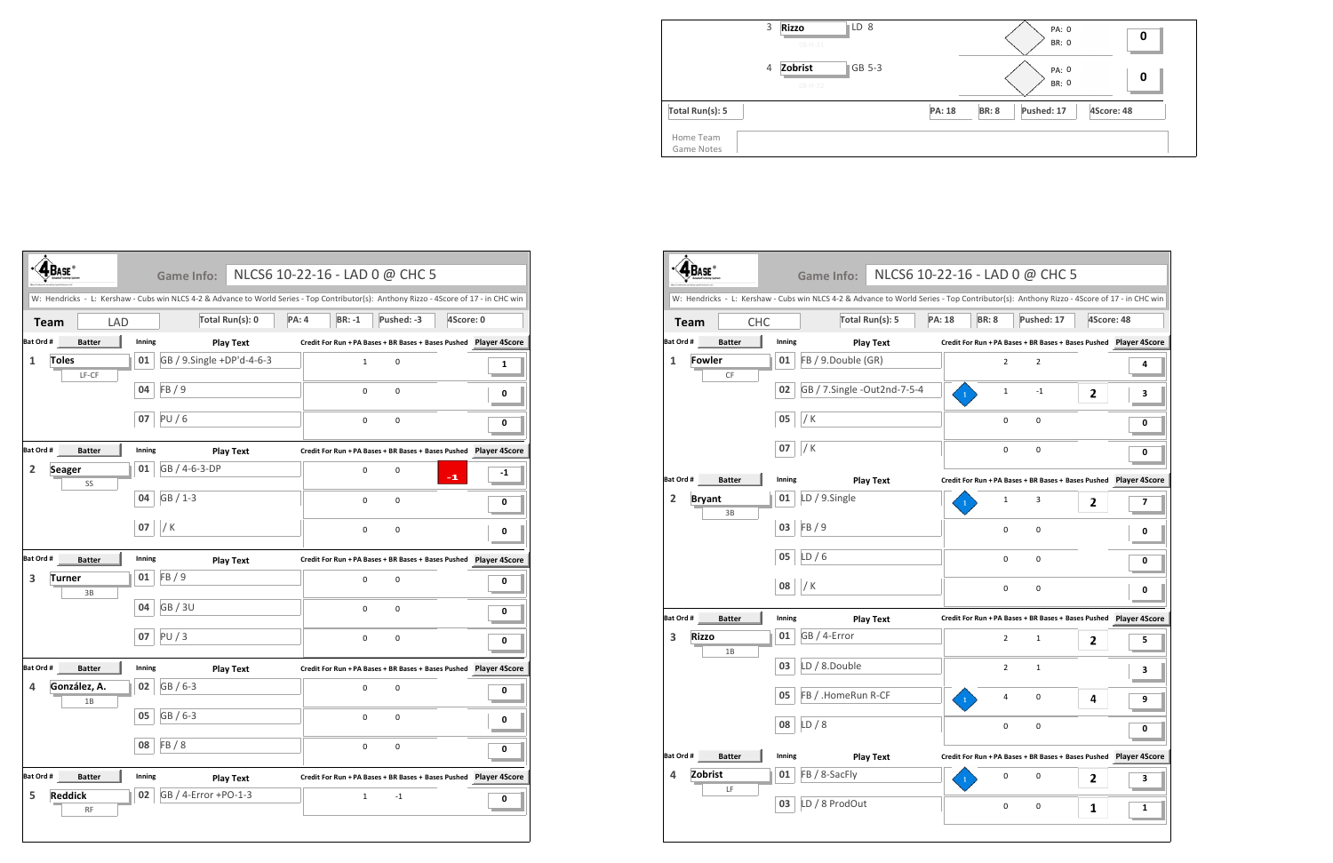

|                         | 3 | <b>Rizzo</b><br>$08 - H - 31$ | LD 8   |               |              | PA:<br>BR: |
|-------------------------|---|-------------------------------|--------|---------------|--------------|------------|
|                         | 4 | Zobrist<br>$08 - H - 32$      | GB 5-3 |               |              | PA:<br>BR: |
| Total Run(s): 5         |   |                               |        | <b>PA: 18</b> | <b>BR: 8</b> | Pushed: 1  |
| Home Team<br>Game Notes |   |                               |        |               |              |            |

|                |                             |        | Game Info:                                                                                                                              |              | NLCS6 10-22-16 - LAD 0 @ CHC 5                                       |            |           |                      |
|----------------|-----------------------------|--------|-----------------------------------------------------------------------------------------------------------------------------------------|--------------|----------------------------------------------------------------------|------------|-----------|----------------------|
|                |                             |        | W: Hendricks - L: Kershaw - Cubs win NLCS 4-2 & Advance to World Series - Top Contributor(s): Anthony Rizzo - 4Score of 17 - in CHC win |              |                                                                      |            |           |                      |
| <b>Team</b>    | <b>LAD</b>                  |        | Total Run(s): 0                                                                                                                         | <b>PA: 4</b> | $BR: -1$                                                             | Pushed: -3 | 4Score: 0 |                      |
| Bat Ord #      | <b>Batter</b>               | Inning | <b>Play Text</b>                                                                                                                        |              | Credit For Run + PA Bases + BR Bases + Bases Pushed Player 4Score    |            |           |                      |
| 1              | <b>Toles</b><br>LF-CF       | 01     | GB / 9.Single +DP'd-4-6-3                                                                                                               |              | 1                                                                    | 0          |           | 1                    |
|                |                             | 04     | FB / 9                                                                                                                                  |              | 0                                                                    | 0          |           | 0                    |
|                |                             | 07     | PU/6                                                                                                                                    |              | 0                                                                    | 0          |           | 0                    |
| Bat Ord #      | <b>Batter</b>               | Inning | <b>Play Text</b>                                                                                                                        |              | Credit For Run + PA Bases + BR Bases + Bases Pushed Player 4Score    |            |           |                      |
| $\overline{2}$ | <b>Seager</b><br>SS         | 01     | GB / 4-6-3-DP                                                                                                                           |              | 0                                                                    | 0          | $-1$      | -1                   |
|                |                             | 04     | GB / 1-3                                                                                                                                |              | 0                                                                    | 0          |           | 0                    |
|                |                             | 07     | / $K$                                                                                                                                   |              | 0                                                                    | 0          |           | 0                    |
| Bat Ord #      | <b>Batter</b>               | Inning | <b>Play Text</b>                                                                                                                        |              | Credit For Run + PA Bases + BR Bases + Bases Pushed    Player 4Score |            |           |                      |
| 3              | <b>Turner</b><br>3B         | 01     | FB/9                                                                                                                                    |              | 0                                                                    | 0          |           | 0                    |
|                |                             | 04     | GB / 3U                                                                                                                                 |              | 0                                                                    | 0          |           | 0                    |
|                |                             | 07     | PU/3                                                                                                                                    |              | 0                                                                    | 0          |           | 0                    |
| Bat Ord #      | <b>Batter</b>               | Inning | <b>Play Text</b>                                                                                                                        |              | Credit For Run + PA Bases + BR Bases + Bases Pushed Player 4Score    |            |           |                      |
| 4              | González, A.<br>1B          | 02     | GB / 6-3                                                                                                                                |              | 0                                                                    | 0          |           | 0                    |
|                |                             | 05     | $GB/6-3$                                                                                                                                |              | 0                                                                    | 0          |           | 0                    |
|                |                             | 08     | FB/8                                                                                                                                    |              | 0                                                                    | 0          |           | 0                    |
| Bat Ord #      | <b>Batter</b>               | Inning | <b>Play Text</b>                                                                                                                        |              | Credit For Run + PA Bases + BR Bases + Bases Pushed                  |            |           | <b>Player 4Score</b> |
| 5              | <b>Reddick</b><br><b>RF</b> | 02     | GB / 4-Error +PO-1-3                                                                                                                    |              | $\mathbf{1}$                                                         | $-1$       |           | 0                    |
|                |                             |        |                                                                                                                                         |              |                                                                      |            |           |                      |

|                    |               |        | NLCS6 10-22-16 - LAD 0 @ CHC 5<br><b>Game Info:</b><br>W: Hendricks - L: Kershaw - Cubs win NLCS 4-2 & Advance to World Series - Top Contributor(s): Anthony Rizzo - 4Score of 17 - in CHC win |               |                |                                                                      |            |   |
|--------------------|---------------|--------|------------------------------------------------------------------------------------------------------------------------------------------------------------------------------------------------|---------------|----------------|----------------------------------------------------------------------|------------|---|
| <b>Team</b>        | <b>CHC</b>    |        | Total Run(s): 5                                                                                                                                                                                | <b>PA: 18</b> | <b>BR: 8</b>   | Pushed: 17                                                           | 4Score: 48 |   |
| Bat Ord #          | <b>Batter</b> | Inning | <b>Play Text</b>                                                                                                                                                                               |               |                | Credit For Run + PA Bases + BR Bases + Bases Pushed    Player 4Score |            |   |
| <b>Fowler</b><br>1 |               | 01     | FB / 9.Double (GR)                                                                                                                                                                             |               | $\overline{2}$ | $\overline{2}$                                                       |            | 4 |
|                    | CF            | 02     | GB / 7.Single -Out2nd-7-5-4                                                                                                                                                                    |               | 1              | $-1$                                                                 | 2          | з |
|                    |               | 05     | / K                                                                                                                                                                                            |               | $\mathbf 0$    | 0                                                                    |            | 0 |
|                    |               | 07     | $/$ K                                                                                                                                                                                          |               | 0              | 0                                                                    |            | 0 |
| Bat Ord #          | <b>Batter</b> | Inning | <b>Play Text</b>                                                                                                                                                                               |               |                | Credit For Run + PA Bases + BR Bases + Bases Pushed Player 4Score    |            |   |
| <b>Bryant</b><br>2 | 3B            | 01     | LD / 9.Single                                                                                                                                                                                  |               | 1              | 3                                                                    | 2          | 7 |
|                    |               | 03     | FB/9                                                                                                                                                                                           |               | 0              | 0                                                                    |            | 0 |
|                    |               | 05     | LD/6                                                                                                                                                                                           |               | 0              | 0                                                                    |            | 0 |
|                    |               | 08     | / K                                                                                                                                                                                            |               | 0              | 0                                                                    |            | 0 |
| Bat Ord #          | <b>Batter</b> | Inning | <b>Play Text</b>                                                                                                                                                                               |               |                | Credit For Run + PA Bases + BR Bases + Bases Pushed    Player 4Score |            |   |
| 3<br><b>Rizzo</b>  | 1B            | 01     | GB / 4-Error                                                                                                                                                                                   |               | $\overline{2}$ | $\mathbf{1}$                                                         | 2          | 5 |
|                    |               | 03     | LD / 8.Double                                                                                                                                                                                  |               | $\overline{2}$ | $\mathbf{1}$                                                         |            | з |
|                    |               | 05     | FB / .HomeRun R-CF                                                                                                                                                                             |               | 4              | 0                                                                    | 4          | 9 |
|                    |               | 08     | LD/8                                                                                                                                                                                           |               | 0              | 0                                                                    |            | 0 |
| Bat Ord #          | <b>Batter</b> | Inning | <b>Play Text</b>                                                                                                                                                                               |               |                | Credit For Run + PA Bases + BR Bases + Bases Pushed    Player 4Score |            |   |
| Zobrist<br>4       | LF            | 01     | FB / 8-SacFly                                                                                                                                                                                  |               | 0              | 0                                                                    | 2          | 3 |
|                    |               | 03     | LD / 8 ProdOut                                                                                                                                                                                 |               | 0              | 0                                                                    | 1          | 1 |

|             | LAD 0 @ CHC 5                                         |   |                      |  |  |  |  |  |  |
|-------------|-------------------------------------------------------|---|----------------------|--|--|--|--|--|--|
|             | ibutor(s): Anthony Rizzo - 4Score of 17 - in CHC win  |   |                      |  |  |  |  |  |  |
| <b>R: 8</b> | Pushed: 17                                            |   | 4Score: 48           |  |  |  |  |  |  |
|             | in +PA Bases + BR Bases + Bases Pushed  Player 4Score |   |                      |  |  |  |  |  |  |
| 2           | 2                                                     |   | 4                    |  |  |  |  |  |  |
| 1           | -1                                                    | 2 | 3                    |  |  |  |  |  |  |
| 0           | 0                                                     |   | 0                    |  |  |  |  |  |  |
| 0           | 0                                                     |   | 0                    |  |  |  |  |  |  |
|             | In + PA Bases + BR Bases + Bases Pushed               |   | <b>Player 4Score</b> |  |  |  |  |  |  |
| 1           | 3                                                     | 2 | 7                    |  |  |  |  |  |  |
| 0           | 0                                                     |   | 0                    |  |  |  |  |  |  |
| 0           | 0                                                     |   | 0                    |  |  |  |  |  |  |
| 0           | 0                                                     |   | 0                    |  |  |  |  |  |  |
|             |                                                       |   |                      |  |  |  |  |  |  |
| 2           | 1                                                     | 2 | 5                    |  |  |  |  |  |  |
| 2           | 1                                                     |   | 3                    |  |  |  |  |  |  |
| 4           | 0                                                     | 4 | 9                    |  |  |  |  |  |  |
| 0           | 0                                                     |   | 0                    |  |  |  |  |  |  |
|             | In + PA Bases + BR Bases + Bases Pushed               |   | <b>Player 4Score</b> |  |  |  |  |  |  |
| 0           | 0                                                     | 2 | з                    |  |  |  |  |  |  |
| 0           | 0                                                     | 1 | 1                    |  |  |  |  |  |  |
|             |                                                       |   |                      |  |  |  |  |  |  |